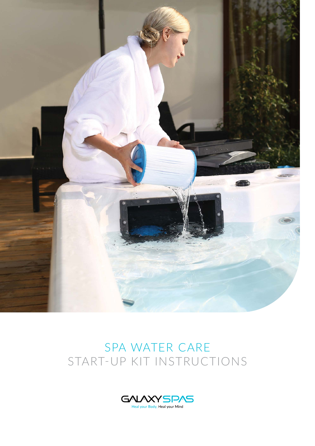

# SPA WATER CARE START-UP KIT INSTRUCTIONS

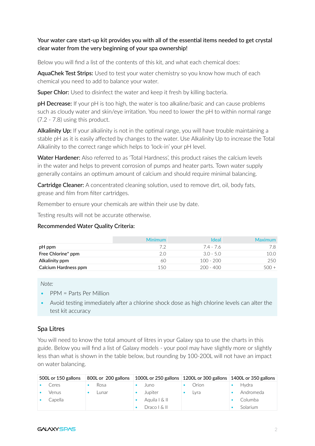#### Your water care start-up kit provides you with all of the essential items needed to get crystal clear water from the very beginning of your spa ownership!

Below you will find a list of the contents of this kit, and what each chemical does:

AquaChek Test Strips: Used to test your water chemistry so you know how much of each chemical you need to add to balance your water.

**Super Chlor:** Used to disinfect the water and keep it fresh by killing bacteria.

**pH Decrease:** If your pH is too high, the water is too alkaline/basic and can cause problems such as cloudy water and skin/eye irritation. You need to lower the pH to within normal range (7.2 - 7.8) using this product.

Alkalinity Up: If your alkalinity is not in the optimal range, you will have trouble maintaining a stable pH as it is easily affected by changes to the water. Use Alkalinity Up to increase the Total Alkalinity to the correct range which helps to 'lock-in' your pH level.

Water Hardener: Also referred to as 'Total Hardness', this product raises the calcium levels in the water and helps to prevent corrosion of pumps and heater parts. Town water supply generally contains an optimum amount of calcium and should require minimal balancing.

Cartridge Cleaner: A concentrated cleaning solution, used to remove dirt, oil, body fats, grease and film from filter cartridges.

Remember to ensure your chemicals are within their use by date.

Testing results will not be accurate otherwise.

#### Recommended Water Quality Criteria:

|                      | <b>Minimum</b> | <b>Ideal</b> | <b>Maximum</b> |
|----------------------|----------------|--------------|----------------|
| pH ppm               | フク             | 74-76        | 7.8            |
| Free Chlorine* ppm   | 2.0            | $3.0 - 5.0$  | 10.0           |
| Alkalinity ppm       | 60             | $100 - 200$  | 250            |
| Calcium Hardness ppm | 150            | $200 - 400$  | 500 +          |

#### *Note:*

- PPM = Parts Per Million
- Avoid testing immediately after a chlorine shock dose as high chlorine levels can alter the test kit accuracy

#### Spa Litres

You will need to know the total amount of litres in your Galaxy spa to use the charts in this guide. Below you will find a list of Galaxy models - your pool may have slightly more or slightly less than what is shown in the table below, but rounding by 100-200L will not have an impact on water balancing.

| 500L or 150 gallons | 800L or 200 gallons | 1000L or 250 gallons   1200L or 300 gallons   1400L or 350 gallons |       |           |
|---------------------|---------------------|--------------------------------------------------------------------|-------|-----------|
| Ceres               | Rosa                | Juno                                                               | Orion | Hvdra     |
| <b>Venus</b>        | Lunar               | Jupiter                                                            | Lvra  | Andromeda |
| Capella             |                     | Aquila   & II                                                      |       | Columba   |
|                     |                     | Draco   & II                                                       |       | Solarium  |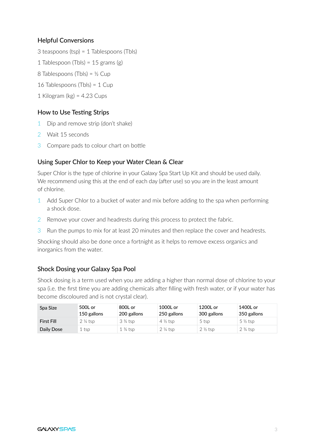#### Helpful Conversions

- 3 teaspoons (tsp) = 1 Tablespoons (Tbls)
- 1 Tablespoon (Tbls) =  $15$  grams (g)
- 8 Tablespoons (Tbls) =  $\frac{1}{2}$  Cup
- 16 Tablespoons (Tbls) = 1 Cup
- 1 Kilogram (kg) =  $4.23$  Cups

## How to Use Testing Strips

- 1 Dip and remove strip (don't shake)
- 2 Wait 15 seconds
- 3 Compare pads to colour chart on bottle

## Using Super Chlor to Keep your Water Clean & Clear

Super Chlor is the type of chlorine in your Galaxy Spa Start Up Kit and should be used daily. We recommend using this at the end of each day (after use) so you are in the least amount of chlorine.

- 1 Add Super Chlor to a bucket of water and mix before adding to the spa when performing a shock dose.
- 2 Remove your cover and headrests during this process to protect the fabric.
- 3 Run the pumps to mix for at least 20 minutes and then replace the cover and headrests.

Shocking should also be done once a fortnight as it helps to remove excess organics and inorganics from the water.

## Shock Dosing your Galaxy Spa Pool

Shock dosing is a term used when you are adding a higher than normal dose of chlorine to your spa (i.e. the first time you are adding chemicals after filling with fresh water, or if your water has become discoloured and is not crystal clear).

| Spa Size          | 500L or<br>150 gallons | 800L or<br>200 gallons | 1000L or<br>250 gallons | 1200L or<br>300 gallons | 1400L or<br>350 gallons |
|-------------------|------------------------|------------------------|-------------------------|-------------------------|-------------------------|
| <b>First Fill</b> | $2\frac{1}{4}$ tsp     | $3\frac{3}{4}$ tsp     | $4\frac{1}{2}$ tsp      | 5 tsp                   | $5\frac{1}{2}$ tsp      |
| Daily Dose        | . tsp                  | $1\frac{3}{4}$ tsp     | $2\frac{1}{4}$ tsp      | $2\frac{1}{2}$ tsp      | $2\frac{3}{4}$ tsp      |